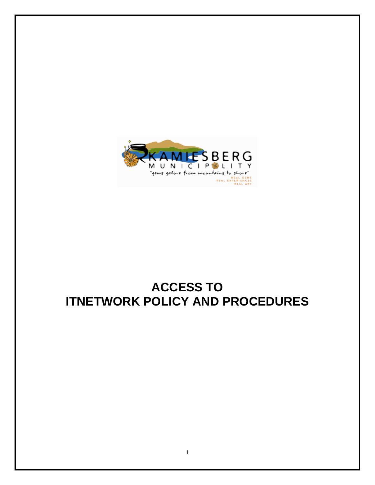

# **ACCESS TO ITNETWORK POLICY AND PROCEDURES**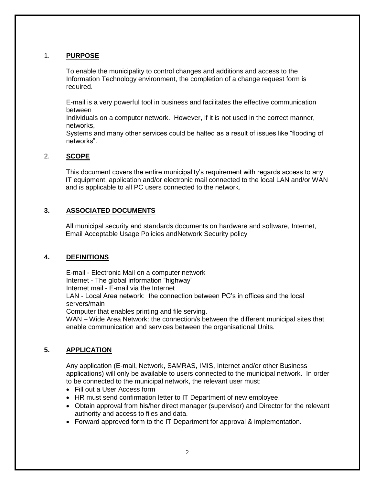## 1. **PURPOSE**

To enable the municipality to control changes and additions and access to the Information Technology environment, the completion of a change request form is required.

E-mail is a very powerful tool in business and facilitates the effective communication between

Individuals on a computer network. However, if it is not used in the correct manner, networks,

Systems and many other services could be halted as a result of issues like "flooding of networks".

## 2. **SCOPE**

This document covers the entire municipality's requirement with regards access to any IT equipment, application and/or electronic mail connected to the local LAN and/or WAN and is applicable to all PC users connected to the network.

### **3. ASSOCIATED DOCUMENTS**

All municipal security and standards documents on hardware and software, Internet, Email Acceptable Usage Policies andNetwork Security policy

### **4. DEFINITIONS**

E-mail - Electronic Mail on a computer network Internet - The global information "highway" Internet mail - E-mail via the Internet LAN - Local Area network: the connection between PC's in offices and the local servers/main Computer that enables printing and file serving. WAN – Wide Area Network: the connection/s between the different municipal sites that

## **5. APPLICATION**

Any application (E-mail, Network, SAMRAS, IMIS, Internet and/or other Business applications) will only be available to users connected to the municipal network. In order to be connected to the municipal network, the relevant user must:

- Fill out a User Access form
- HR must send confirmation letter to IT Department of new employee.

enable communication and services between the organisational Units.

- Obtain approval from his/her direct manager (supervisor) and Director for the relevant authority and access to files and data.
- Forward approved form to the IT Department for approval & implementation.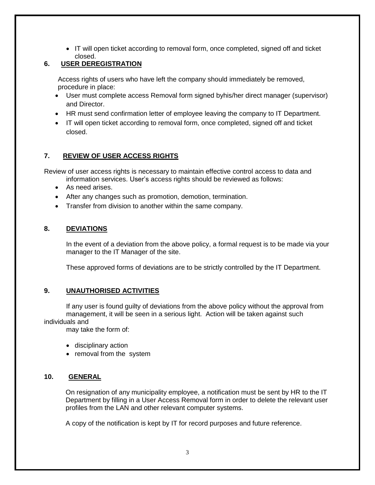• IT will open ticket according to removal form, once completed, signed off and ticket closed.

## **6. USER DEREGISTRATION**

Access rights of users who have left the company should immediately be removed, procedure in place:

- User must complete access Removal form signed byhis/her direct manager (supervisor) and Director.
- HR must send confirmation letter of employee leaving the company to IT Department.
- IT will open ticket according to removal form, once completed, signed off and ticket closed.

## **7. REVIEW OF USER ACCESS RIGHTS**

Review of user access rights is necessary to maintain effective control access to data and

- information services. User's access rights should be reviewed as follows:
- As need arises.
- After any changes such as promotion, demotion, termination.
- Transfer from division to another within the same company.

## **8. DEVIATIONS**

In the event of a deviation from the above policy, a formal request is to be made via your manager to the IT Manager of the site.

These approved forms of deviations are to be strictly controlled by the IT Department.

### **9. UNAUTHORISED ACTIVITIES**

If any user is found guilty of deviations from the above policy without the approval from management, it will be seen in a serious light. Action will be taken against such individuals and

may take the form of:

- disciplinary action
- removal from the system

### **10. GENERAL**

On resignation of any municipality employee, a notification must be sent by HR to the IT Department by filling in a User Access Removal form in order to delete the relevant user profiles from the LAN and other relevant computer systems.

A copy of the notification is kept by IT for record purposes and future reference.